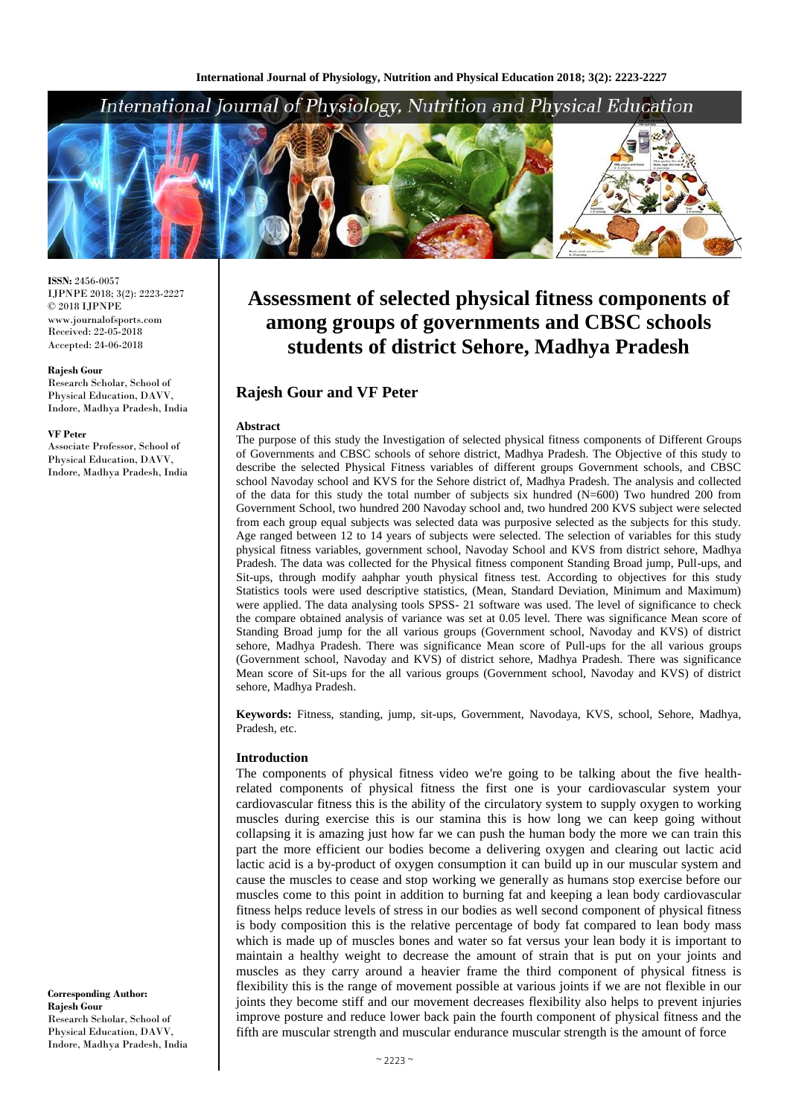

**ISSN:** 2456-0057 IJPNPE 2018; 3(2): 2223-2227  $\odot$  2018 IJPNPE www.journalofsports.com Received: 22-05-2018 Accepted: 24-06-2018

#### **Rajesh Gour**

Research Scholar, School of Physical Education, DAVV, Indore, Madhya Pradesh, India

#### **VF Peter**

Associate Professor, School of Physical Education, DAVV, Indore, Madhya Pradesh, India

#### **Corresponding Author: Rajesh Gour** Research Scholar, School of Physical Education, DAVV, Indore, Madhya Pradesh, India

# **Assessment of selected physical fitness components of among groups of governments and CBSC schools students of district Sehore, Madhya Pradesh**

# **Rajesh Gour and VF Peter**

#### **Abstract**

The purpose of this study the Investigation of selected physical fitness components of Different Groups of Governments and CBSC schools of sehore district, Madhya Pradesh. The Objective of this study to describe the selected Physical Fitness variables of different groups Government schools, and CBSC school Navoday school and KVS for the Sehore district of, Madhya Pradesh. The analysis and collected of the data for this study the total number of subjects six hundred  $(N=600)$  Two hundred 200 from Government School, two hundred 200 Navoday school and, two hundred 200 KVS subject were selected from each group equal subjects was selected data was purposive selected as the subjects for this study. Age ranged between 12 to 14 years of subjects were selected. The selection of variables for this study physical fitness variables, government school, Navoday School and KVS from district sehore, Madhya Pradesh. The data was collected for the Physical fitness component Standing Broad jump, Pull-ups, and Sit-ups, through modify aahphar youth physical fitness test. According to objectives for this study Statistics tools were used descriptive statistics, (Mean, Standard Deviation, Minimum and Maximum) were applied. The data analysing tools SPSS- 21 software was used. The level of significance to check the compare obtained analysis of variance was set at 0.05 level. There was significance Mean score of Standing Broad jump for the all various groups (Government school, Navoday and KVS) of district sehore, Madhya Pradesh. There was significance Mean score of Pull-ups for the all various groups (Government school, Navoday and KVS) of district sehore, Madhya Pradesh. There was significance Mean score of Sit-ups for the all various groups (Government school, Navoday and KVS) of district sehore, Madhya Pradesh.

**Keywords:** Fitness, standing, jump, sit-ups, Government, Navodaya, KVS, school, Sehore, Madhya, Pradesh, etc.

#### **Introduction**

The components of physical fitness video we're going to be talking about the five healthrelated components of physical fitness the first one is your cardiovascular system your cardiovascular fitness this is the ability of the circulatory system to supply oxygen to working muscles during exercise this is our stamina this is how long we can keep going without collapsing it is amazing just how far we can push the human body the more we can train this part the more efficient our bodies become a delivering oxygen and clearing out lactic acid lactic acid is a by-product of oxygen consumption it can build up in our muscular system and cause the muscles to cease and stop working we generally as humans stop exercise before our muscles come to this point in addition to burning fat and keeping a lean body cardiovascular fitness helps reduce levels of stress in our bodies as well second component of physical fitness is body composition this is the relative percentage of body fat compared to lean body mass which is made up of muscles bones and water so fat versus your lean body it is important to maintain a healthy weight to decrease the amount of strain that is put on your joints and muscles as they carry around a heavier frame the third component of physical fitness is flexibility this is the range of movement possible at various joints if we are not flexible in our joints they become stiff and our movement decreases flexibility also helps to prevent injuries improve posture and reduce lower back pain the fourth component of physical fitness and the fifth are muscular strength and muscular endurance muscular strength is the amount of force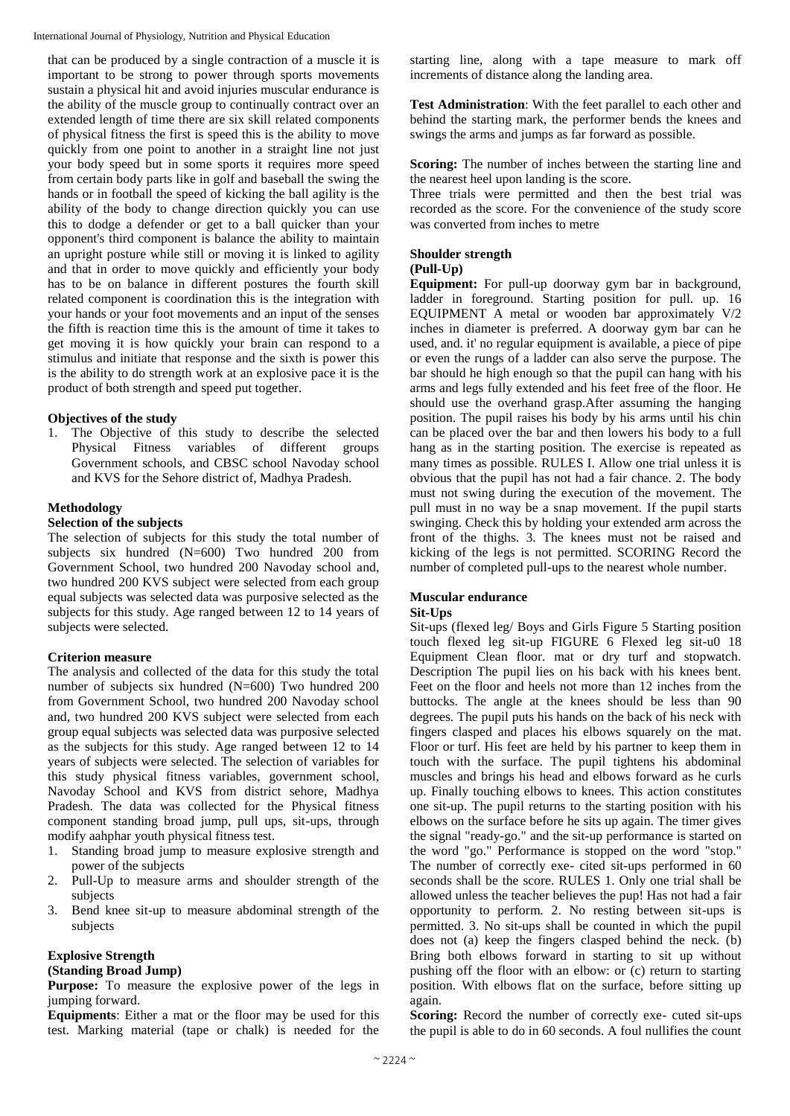that can be produced by a single contraction of a muscle it is important to be strong to power through sports movements sustain a physical hit and avoid injuries muscular endurance is the ability of the muscle group to continually contract over an extended length of time there are six skill related components of physical fitness the first is speed this is the ability to move quickly from one point to another in a straight line not just your body speed but in some sports it requires more speed from certain body parts like in golf and baseball the swing the hands or in football the speed of kicking the ball agility is the ability of the body to change direction quickly you can use this to dodge a defender or get to a ball quicker than your opponent's third component is balance the ability to maintain an upright posture while still or moving it is linked to agility and that in order to move quickly and efficiently your body has to be on balance in different postures the fourth skill related component is coordination this is the integration with your hands or your foot movements and an input of the senses the fifth is reaction time this is the amount of time it takes to get moving it is how quickly your brain can respond to a stimulus and initiate that response and the sixth is power this is the ability to do strength work at an explosive pace it is the product of both strength and speed put together.

## **Objectives of the study**

1. The Objective of this study to describe the selected Physical Fitness variables of different groups Government schools, and CBSC school Navoday school and KVS for the Sehore district of, Madhya Pradesh.

## **Methodology**

#### **Selection of the subjects**

The selection of subjects for this study the total number of subjects six hundred (N=600) Two hundred 200 from Government School, two hundred 200 Navoday school and, two hundred 200 KVS subject were selected from each group equal subjects was selected data was purposive selected as the subjects for this study. Age ranged between 12 to 14 years of subjects were selected.

## **Criterion measure**

The analysis and collected of the data for this study the total number of subjects six hundred (N=600) Two hundred 200 from Government School, two hundred 200 Navoday school and, two hundred 200 KVS subject were selected from each group equal subjects was selected data was purposive selected as the subjects for this study. Age ranged between 12 to 14 years of subjects were selected. The selection of variables for this study physical fitness variables, government school, Navoday School and KVS from district sehore, Madhya Pradesh. The data was collected for the Physical fitness component standing broad jump, pull ups, sit-ups, through modify aahphar youth physical fitness test.

- 1. Standing broad jump to measure explosive strength and power of the subjects
- 2. Pull-Up to measure arms and shoulder strength of the subjects
- 3. Bend knee sit-up to measure abdominal strength of the subjects

# **Explosive Strength**

## **(Standing Broad Jump)**

**Purpose:** To measure the explosive power of the legs in jumping forward.

**Equipments**: Either a mat or the floor may be used for this test. Marking material (tape or chalk) is needed for the

starting line, along with a tape measure to mark off increments of distance along the landing area.

**Test Administration**: With the feet parallel to each other and behind the starting mark, the performer bends the knees and swings the arms and jumps as far forward as possible.

**Scoring:** The number of inches between the starting line and the nearest heel upon landing is the score.

Three trials were permitted and then the best trial was recorded as the score. For the convenience of the study score was converted from inches to metre

# **Shoulder strength**

# **(Pull-Up)**

**Equipment:** For pull-up doorway gym bar in background, ladder in foreground. Starting position for pull. up. 16 EQUIPMENT A metal or wooden bar approximately V/2 inches in diameter is preferred. A doorway gym bar can he used, and. it' no regular equipment is available, a piece of pipe or even the rungs of a ladder can also serve the purpose. The bar should he high enough so that the pupil can hang with his arms and legs fully extended and his feet free of the floor. He should use the overhand grasp.After assuming the hanging position. The pupil raises his body by his arms until his chin can be placed over the bar and then lowers his body to a full hang as in the starting position. The exercise is repeated as many times as possible. RULES I. Allow one trial unless it is obvious that the pupil has not had a fair chance. 2. The body must not swing during the execution of the movement. The pull must in no way be a snap movement. If the pupil starts swinging. Check this by holding your extended arm across the front of the thighs. 3. The knees must not be raised and kicking of the legs is not permitted. SCORING Record the number of completed pull-ups to the nearest whole number.

## **Muscular endurance**

## **Sit-Ups**

Sit-ups (flexed leg/ Boys and Girls Figure 5 Starting position touch flexed leg sit-up FIGURE 6 Flexed leg sit-u0 18 Equipment Clean floor. mat or dry turf and stopwatch. Description The pupil lies on his back with his knees bent. Feet on the floor and heels not more than 12 inches from the buttocks. The angle at the knees should be less than 90 degrees. The pupil puts his hands on the back of his neck with fingers clasped and places his elbows squarely on the mat. Floor or turf. His feet are held by his partner to keep them in touch with the surface. The pupil tightens his abdominal muscles and brings his head and elbows forward as he curls up. Finally touching elbows to knees. This action constitutes one sit-up. The pupil returns to the starting position with his elbows on the surface before he sits up again. The timer gives the signal "ready-go." and the sit-up performance is started on the word "go." Performance is stopped on the word "stop." The number of correctly exe- cited sit-ups performed in 60 seconds shall be the score. RULES 1. Only one trial shall be allowed unless the teacher believes the pup! Has not had a fair opportunity to perform. 2. No resting between sit-ups is permitted. 3. No sit-ups shall be counted in which the pupil does not (a) keep the fingers clasped behind the neck. (b) Bring both elbows forward in starting to sit up without pushing off the floor with an elbow: or (c) return to starting position. With elbows flat on the surface, before sitting up again.

**Scoring:** Record the number of correctly exe- cuted sit-ups the pupil is able to do in 60 seconds. A foul nullifies the count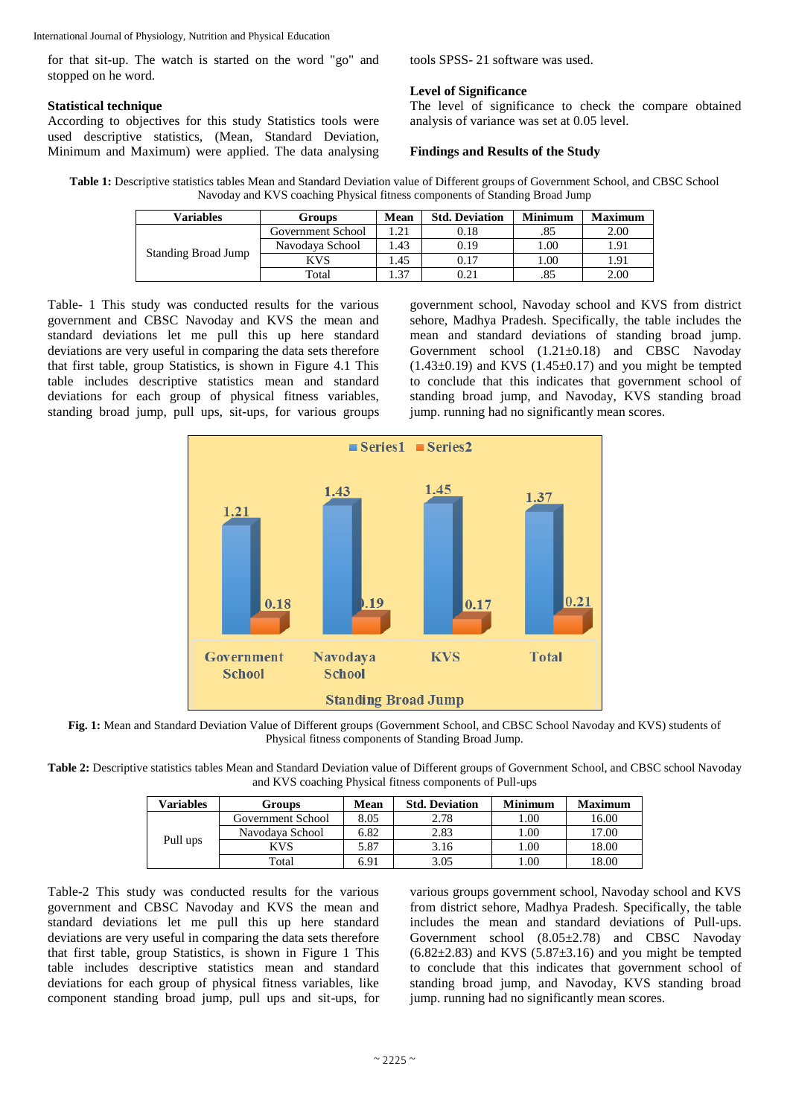for that sit-up. The watch is started on the word "go" and stopped on he word.

## **Statistical technique**

According to objectives for this study Statistics tools were used descriptive statistics, (Mean, Standard Deviation, Minimum and Maximum) were applied. The data analysing tools SPSS- 21 software was used.

# **Level of Significance**

The level of significance to check the compare obtained analysis of variance was set at 0.05 level.

# **Findings and Results of the Study**

**Table 1:** Descriptive statistics tables Mean and Standard Deviation value of Different groups of Government School, and CBSC School Navoday and KVS coaching Physical fitness components of Standing Broad Jump

| <b>Variables</b>           | Groups            | Mean | <b>Std. Deviation</b> | <b>Minimum</b> | <b>Maximum</b> |
|----------------------------|-------------------|------|-----------------------|----------------|----------------|
| <b>Standing Broad Jump</b> | Government School | 1.21 | 0.18                  | .85            | 2.00           |
|                            | Navodava School   | 1.43 | 0.19                  | .00.           | 91. ا          |
|                            | KVS               | 1.45 | 0.17                  | $00$ .         | 1.91           |
|                            | Total             | 1.37 | 0.21                  | .85            | 2.00           |

Table- 1 This study was conducted results for the various government and CBSC Navoday and KVS the mean and standard deviations let me pull this up here standard deviations are very useful in comparing the data sets therefore that first table, group Statistics, is shown in Figure 4.1 This table includes descriptive statistics mean and standard deviations for each group of physical fitness variables, standing broad jump, pull ups, sit-ups, for various groups

government school, Navoday school and KVS from district sehore, Madhya Pradesh. Specifically, the table includes the mean and standard deviations of standing broad jump. Government school (1.21±0.18) and CBSC Navoday  $(1.43\pm0.19)$  and KVS  $(1.45\pm0.17)$  and you might be tempted to conclude that this indicates that government school of standing broad jump, and Navoday, KVS standing broad jump. running had no significantly mean scores.



**Fig. 1:** Mean and Standard Deviation Value of Different groups (Government School, and CBSC School Navoday and KVS) students of Physical fitness components of Standing Broad Jump.

**Table 2:** Descriptive statistics tables Mean and Standard Deviation value of Different groups of Government School, and CBSC school Navoday and KVS coaching Physical fitness components of Pull-ups

| Variables | Groups            | Mean | <b>Std. Deviation</b> | <b>Minimum</b> | <b>Maximum</b> |
|-----------|-------------------|------|-----------------------|----------------|----------------|
| Pull ups  | Government School | 8.05 | 2.78                  | 1.00           | 16.00          |
|           | Navodava School   | 6.82 | 2.83                  | 1.00           | 17.00          |
|           | KVS               | 5.87 | 3.16                  | 00.1           | 18.00          |
|           | Total             | 6.91 | 3.05                  | .00            | 18.00          |

Table-2 This study was conducted results for the various government and CBSC Navoday and KVS the mean and standard deviations let me pull this up here standard deviations are very useful in comparing the data sets therefore that first table, group Statistics, is shown in Figure 1 This table includes descriptive statistics mean and standard deviations for each group of physical fitness variables, like component standing broad jump, pull ups and sit-ups, for

various groups government school, Navoday school and KVS from district sehore, Madhya Pradesh. Specifically, the table includes the mean and standard deviations of Pull-ups. Government school (8.05±2.78) and CBSC Navoday  $(6.82\pm2.83)$  and KVS  $(5.87\pm3.16)$  and you might be tempted to conclude that this indicates that government school of standing broad jump, and Navoday, KVS standing broad jump. running had no significantly mean scores.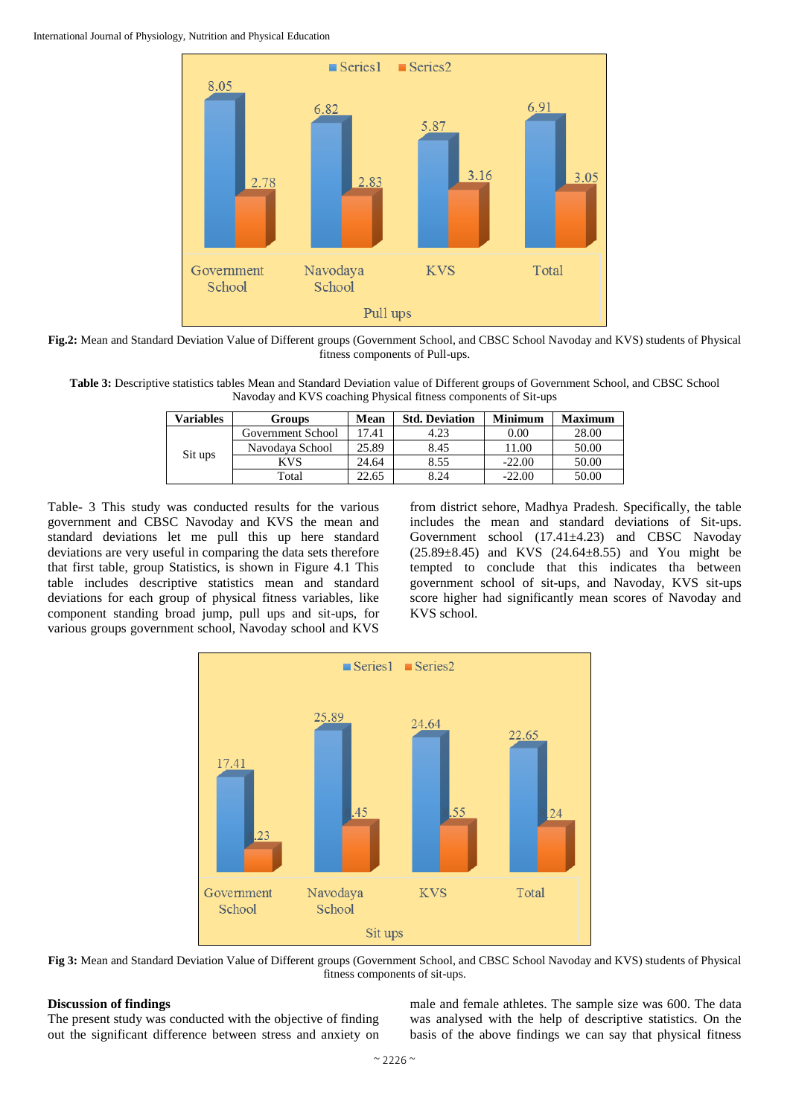

**Fig.2:** Mean and Standard Deviation Value of Different groups (Government School, and CBSC School Navoday and KVS) students of Physical fitness components of Pull-ups.

**Table 3:** Descriptive statistics tables Mean and Standard Deviation value of Different groups of Government School, and CBSC School Navoday and KVS coaching Physical fitness components of Sit-ups

| Variables | Groups            | Mean  | <b>Std. Deviation</b> | <b>Minimum</b> | <b>Maximum</b> |
|-----------|-------------------|-------|-----------------------|----------------|----------------|
| Sit ups   | Government School | 7.41  | 4.23                  | $0.00\,$       | 28.00          |
|           | Navodava School   | 25.89 | 8.45                  | .1.00          | 50.00          |
|           | KVS               | 24.64 | 8.55                  | $-22.00$       | 50.00          |
|           | Total             | 22.65 | 8.24                  | $-22.00$       | 50.00          |

Table- 3 This study was conducted results for the various government and CBSC Navoday and KVS the mean and standard deviations let me pull this up here standard deviations are very useful in comparing the data sets therefore that first table, group Statistics, is shown in Figure 4.1 This table includes descriptive statistics mean and standard deviations for each group of physical fitness variables, like component standing broad jump, pull ups and sit-ups, for various groups government school, Navoday school and KVS

from district sehore, Madhya Pradesh. Specifically, the table includes the mean and standard deviations of Sit-ups. Government school (17.41±4.23) and CBSC Navoday  $(25.89 \pm 8.45)$  and KVS  $(24.64 \pm 8.55)$  and You might be tempted to conclude that this indicates tha between government school of sit-ups, and Navoday, KVS sit-ups score higher had significantly mean scores of Navoday and KVS school.



**Fig 3:** Mean and Standard Deviation Value of Different groups (Government School, and CBSC School Navoday and KVS) students of Physical fitness components of sit-ups.

#### **Discussion of findings**

The present study was conducted with the objective of finding out the significant difference between stress and anxiety on

male and female athletes. The sample size was 600. The data was analysed with the help of descriptive statistics. On the basis of the above findings we can say that physical fitness